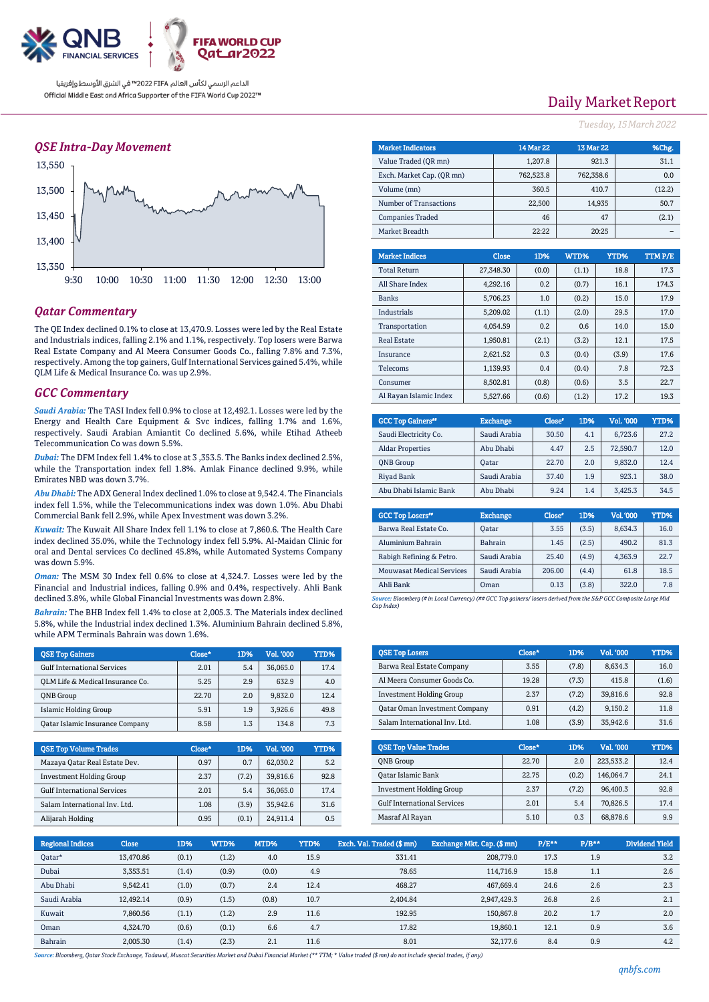

### *QSE Intra-Day Movement*



### *Qatar Commentary*

The QE Index declined 0.1% to close at 13,470.9. Losses were led by the Real Estate and Industrials indices, falling 2.1% and 1.1%, respectively. Top losers were Barwa Real Estate Company and Al Meera Consumer Goods Co., falling 7.8% and 7.3%, respectively. Among the top gainers, Gulf International Services gained 5.4%, while QLM Life & Medical Insurance Co. was up 2.9%.

#### *GCC Commentary*

*Saudi Arabia:* The TASI Index fell 0.9% to close at 12,492.1. Losses were led by the Energy and Health Care Equipment & Svc indices, falling 1.7% and 1.6%, respectively. Saudi Arabian Amiantit Co declined 5.6%, while Etihad Atheeb Telecommunication Co was down 5.5%.

*Dubai:* The DFM Index fell 1.4% to close at 3 ,353.5. The Banks index declined 2.5%, while the Transportation index fell 1.8%. Amlak Finance declined 9.9%, while Emirates NBD was down 3.7%.

*Abu Dhabi:* The ADX General Index declined 1.0% to close at 9,542.4. The Financials index fell 1.5%, while the Telecommunications index was down 1.0%. Abu Dhabi Commercial Bank fell 2.9%, while Apex Investment was down 3.2%.

*Kuwait:* The Kuwait All Share Index fell 1.1% to close at 7,860.6. The Health Care index declined 35.0%, while the Technology index fell 5.9%. Al-Maidan Clinic for oral and Dental services Co declined 45.8%, while Automated Systems Company was down 5.9%.

*Oman:* The MSM 30 Index fell 0.6% to close at 4,324.7. Losses were led by the Financial and Industrial indices, falling 0.9% and 0.4%, respectively. Ahli Bank declined 3.8%, while Global Financial Investments was down 2.8%.

*Bahrain:* The BHB Index fell 1.4% to close at 2,005.3. The Materials index declined 5.8%, while the Industrial index declined 1.3%. Aluminium Bahrain declined 5.8%, while APM Terminals Bahrain was down 1.6%.

| <b>OSE Top Gainers</b>                 | Close* | 1D% | Vol. '000 | YTD% |
|----------------------------------------|--------|-----|-----------|------|
| <b>Gulf International Services</b>     | 2.01   | 5.4 | 36,065.0  | 17.4 |
| OLM Life & Medical Insurance Co.       | 5.25   | 2.9 | 632.9     | 4.0  |
| <b>ONB</b> Group                       | 22.70  | 2.0 | 9,832.0   | 12.4 |
| <b>Islamic Holding Group</b>           | 5.91   | 1.9 | 3.926.6   | 49.8 |
| <b>Qatar Islamic Insurance Company</b> | 8.58   | 1.3 | 134.8     | 7.3  |

| <b>OSE Top Volume Trades</b>       | Close* | 1D%   | Vol. '000 | YTD% |
|------------------------------------|--------|-------|-----------|------|
| Mazaya Qatar Real Estate Dev.      | 0.97   | 0.7   | 62.030.2  | 5.2  |
| <b>Investment Holding Group</b>    | 2.37   | (7.2) | 39.816.6  | 92.8 |
| <b>Gulf International Services</b> | 2.01   | 5.4   | 36.065.0  | 17.4 |
| Salam International Inv. Ltd.      | 1.08   | (3.9) | 35.942.6  | 31.6 |
| Alijarah Holding                   | 0.95   | (0.1) | 24.911.4  | 0.5  |

# Daily Market Report

*Tuesday, 15March2022*

| <b>Market Indicators</b>  |           |              | <b>14 Mar 22</b> | <b>13 Mar 22</b> |        | %Chg.  |  |
|---------------------------|-----------|--------------|------------------|------------------|--------|--------|--|
| Value Traded (OR mn)      |           | 1,207.8      |                  |                  | 921.3  | 31.1   |  |
| Exch. Market Cap. (QR mn) | 762,523.8 |              | 762,358.6        |                  | 0.0    |        |  |
| Volume (mn)               |           |              | 360.5            |                  | 410.7  | (12.2) |  |
| Number of Transactions    |           |              | 22,500           |                  | 14,935 | 50.7   |  |
| <b>Companies Traded</b>   |           |              |                  |                  | 47     | (2.1)  |  |
| Market Breadth            |           | 22:22        |                  |                  | 20:25  |        |  |
|                           |           |              |                  |                  |        |        |  |
|                           |           |              |                  |                  |        |        |  |
| <b>Market Indices</b>     |           | <b>Close</b> | 1D%              | WTD%             | YTD%   | TTMP/E |  |
| <b>Total Return</b>       |           | 27,348.30    | (0.0)            | (1.1)            | 18.8   | 17.3   |  |
| All Share Index           |           | 4,292.16     | 0.2              | (0.7)            | 16.1   | 174.3  |  |
| <b>Banks</b>              |           | 5,706.23     | 1.0              | (0.2)            | 15.0   | 17.9   |  |
| Industrials               |           | 5,209.02     | (1.1)            | (2.0)            | 29.5   | 17.0   |  |
| Transportation            |           | 4,054.59     | 0.2              | 0.6              | 14.0   | 15.0   |  |
| <b>Real Estate</b>        |           | 1,950.81     | (2.1)            | (3.2)            | 12.1   | 17.5   |  |

| Consumer                            | 8.502.81        | (0.8)  | (0.6) | 3.5       | 22.7 |
|-------------------------------------|-----------------|--------|-------|-----------|------|
| Al Rayan Islamic Index              | 5,527.66        | (0.6)  | (1.2) | 17.2      | 19.3 |
|                                     |                 |        |       |           |      |
| <b>GCC Top Gainers</b> <sup>#</sup> | <b>Exchange</b> | Close* | 1D%   | Vol. '000 | YTD% |
| Saudi Electricity Co.               | Saudi Arabia    | 30.50  | 4.1   | 6.723.6   | 27.2 |

Telecoms 1,139.93 0.4 (0.4) 7.8 72.3

| Saudi Electricity Co.   | Saudi Arabia | 30.50 | 4.1 | 6,723.6  | 27.2 |
|-------------------------|--------------|-------|-----|----------|------|
| <b>Aldar Properties</b> | Abu Dhabi    | 4.47  | 2.5 | 72,590.7 | 12.0 |
| <b>ONB</b> Group        | <b>Oatar</b> | 22.70 | 2.0 | 9.832.0  | 12.4 |
| Riyad Bank              | Saudi Arabia | 37.40 | 1.9 | 923.1    | 38.0 |
| Abu Dhabi Islamic Bank  | Abu Dhabi    | 9.24  | 1.4 | 3.425.3  | 34.5 |
|                         |              |       |     |          |      |

| <b>GCC Top Losers</b> <sup>40</sup> | <b>Exchange</b> | Close <sup>®</sup> | 1D%   | Vol. '000 | YTD% |
|-------------------------------------|-----------------|--------------------|-------|-----------|------|
| Barwa Real Estate Co.               | Oatar           | 3.55               | (3.5) | 8.634.3   | 16.0 |
| Aluminium Bahrain                   | <b>Bahrain</b>  | 1.45               | (2.5) | 490.2     | 81.3 |
| Rabigh Refining & Petro.            | Saudi Arabia    | 25.40              | (4.9) | 4.363.9   | 22.7 |
| <b>Mouwasat Medical Services</b>    | Saudi Arabia    | 206.00             | (4.4) | 61.8      | 18.5 |
| Ahli Bank                           | Oman            | 0.13               | (3.8) | 322.0     | 7.8  |

*Source: Bloomberg (# in Local Currency) (## GCC Top gainers/ losers derived from the S&P GCC Composite Large Mid Cap Index)*

| <b>QSE Top Losers</b>                | $Close*$ | 1D%   | <b>Vol. '000</b> | <b>YTD%</b> |
|--------------------------------------|----------|-------|------------------|-------------|
| Barwa Real Estate Company            | 3.55     | (7.8) | 8.634.3          | 16.0        |
| Al Meera Consumer Goods Co.          | 19.28    | (7.3) | 415.8            | (1.6)       |
| <b>Investment Holding Group</b>      | 2.37     | (7.2) | 39,816.6         | 92.8        |
| <b>Qatar Oman Investment Company</b> | 0.91     | (4.2) | 9.150.2          | 11.8        |
| Salam International Inv. Ltd.        | 1.08     | (3.9) | 35,942.6         | 31.6        |

| <b>OSE Top Value Trades</b>        | Close* | 1D%   | Val. '000 | YTD% |
|------------------------------------|--------|-------|-----------|------|
| <b>ONB</b> Group                   | 22.70  | 2.0   | 223,533.2 | 12.4 |
| Qatar Islamic Bank                 | 22.75  | (0.2) | 146.064.7 | 24.1 |
| <b>Investment Holding Group</b>    | 2.37   | (7.2) | 96,400.3  | 92.8 |
| <b>Gulf International Services</b> | 2.01   | 5.4   | 70.826.5  | 17.4 |
| Masraf Al Rayan                    | 5.10   | 0.3   | 68,878.6  | 9.9  |

| <b>Regional Indices</b> | <b>Close</b> | 1D%   | WTD%  | MTD%  | YTD% | Exch. Val. Traded (\$ mn) | Exchange Mkt. Cap. (\$ mn) | P/E** | $P/B**$ | Dividend Yield |
|-------------------------|--------------|-------|-------|-------|------|---------------------------|----------------------------|-------|---------|----------------|
| Qatar*                  | 13,470.86    | (0.1) | (1.2) | 4.0   | 15.9 | 331.41                    | 208,779.0                  | 17.3  | 1.9     | 3.2            |
| Dubai                   | 3.353.51     | (1.4) | (0.9) | (0.0) | 4.9  | 78.65                     | 114.716.9                  | 15.8  | 1.1     | 2.6            |
| Abu Dhabi               | 9,542.41     | (1.0) | (0.7) | 2.4   | 12.4 | 468.27                    | 467.669.4                  | 24.6  | 2.6     | 2.3            |
| Saudi Arabia            | 12,492.14    | (0.9) | (1.5) | (0.8) | 10.7 | 2.404.84                  | 2,947,429.3                | 26.8  | 2.6     | 2.1            |
| Kuwait                  | 7.860.56     | (1.1) | (1.2) | 2.9   | 11.6 | 192.95                    | 150,867.8                  | 20.2  | 1.7     | 2.0            |
| Oman                    | 4.324.70     | (0.6) | (0.1) | 6.6   | 4.7  | 17.82                     | 19.860.1                   | 12.1  | 0.9     | 3.6            |
| Bahrain                 | 2,005.30     | (1.4) | (2.3) | 2.1   | 11.6 | 8.01                      | 32.177.6                   | 8.4   | 0.9     | 4.2            |

*Source: Bloomberg, Qatar Stock Exchange, Tadawul, Muscat Securities Market and Dubai Financial Market (\*\* TTM; \* Value traded (\$ mn) do not include special trades, if any)*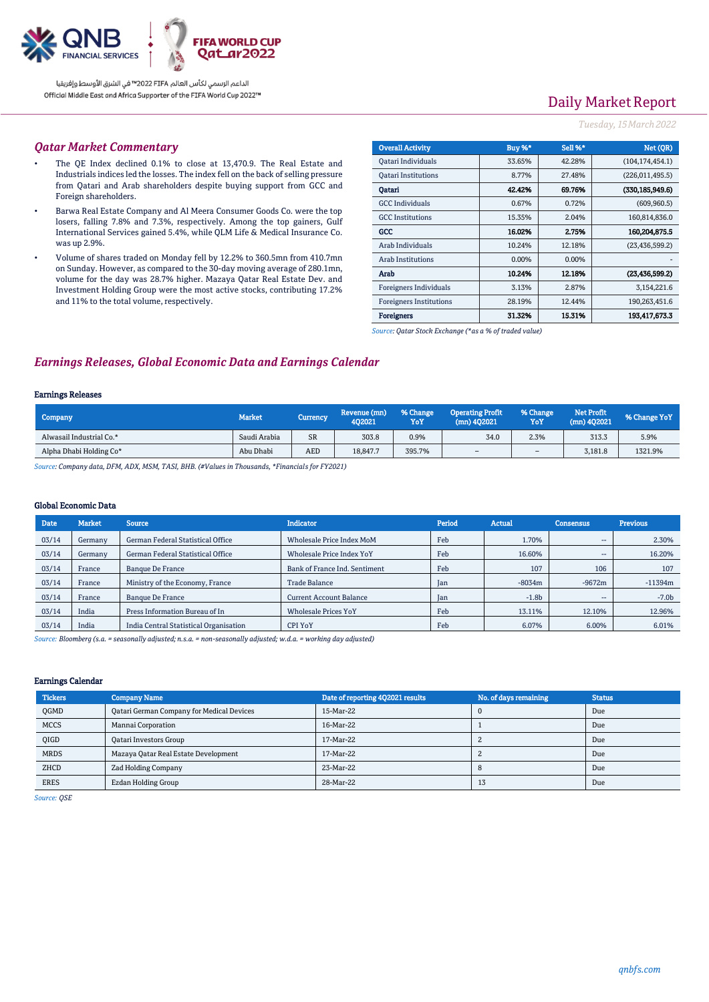

# Daily Market Report

#### *Tuesday, 15March2022*

#### *Qatar Market Commentary*

- The QE Index declined 0.1% to close at 13,470.9. The Real Estate and Industrials indices led the losses. The index fell on the back of selling pressure from Qatari and Arab shareholders despite buying support from GCC and Foreign shareholders.
- Barwa Real Estate Company and Al Meera Consumer Goods Co. were the top losers, falling 7.8% and 7.3%, respectively. Among the top gainers, Gulf International Services gained 5.4%, while QLM Life & Medical Insurance Co. was up 2.9%.
- Volume of shares traded on Monday fell by 12.2% to 360.5mn from 410.7mn on Sunday. However, as compared to the 30-day moving average of 280.1mn, volume for the day was 28.7% higher. Mazaya Qatar Real Estate Dev. and Investment Holding Group were the most active stocks, contributing 17.2% and 11% to the total volume, respectively.

| <b>Overall Activity</b>        | Buy %*   | Sell %*  | Net (OR)          |
|--------------------------------|----------|----------|-------------------|
| Qatari Individuals             | 33.65%   | 42.28%   | (104, 174, 454.1) |
| <b>Qatari Institutions</b>     | 8.77%    | 27.48%   | (226, 011, 495.5) |
| Oatari                         | 42.42%   | 69.76%   | (330,185,949.6)   |
| <b>GCC</b> Individuals         | 0.67%    | 0.72%    | (609, 960.5)      |
| <b>GCC</b> Institutions        | 15.35%   | 2.04%    | 160,814,836.0     |
| GCC                            | 16.02%   | 2.75%    | 160,204,875.5     |
| Arab Individuals               | 10.24%   | 12.18%   | (23, 436, 599.2)  |
| <b>Arab Institutions</b>       | $0.00\%$ | $0.00\%$ |                   |
| Arab                           | 10.24%   | 12.18%   | (23, 436, 599.2)  |
| Foreigners Individuals         | 3.13%    | 2.87%    | 3,154,221.6       |
| <b>Foreigners Institutions</b> | 28.19%   | 12.44%   | 190,263,451.6     |
| <b>Foreigners</b>              | 31.32%   | 15.31%   | 193,417,673.3     |

*Source: Qatar Stock Exchange (\*as a % of traded value)*

## *Earnings Releases, Global Economic Data and Earnings Calendar*

#### Earnings Releases

| Company                  | <b>Market</b> | Currency   | Revenue (mn)<br>402021 | % Change '<br>YoY | <b>Operating Profit</b><br>$(mn)$ 402021 | % Change<br>YoY | Net Profit<br>(mn) 402021 | % Change YoY |
|--------------------------|---------------|------------|------------------------|-------------------|------------------------------------------|-----------------|---------------------------|--------------|
| Alwasail Industrial Co.* | Saudi Arabia  | <b>SR</b>  | 303.8                  | 0.9%              | 34.0                                     | 2.3%            | 313.3                     | 5.9%         |
| Alpha Dhabi Holding Co*  | Abu Dhabi     | <b>AED</b> | 18,847.7               | 395.7%            | -                                        | -               | 3,181.8                   | 1321.9%      |

*Source: Company data, DFM, ADX, MSM, TASI, BHB. (#Values in Thousands, \*Financials for FY2021)*

#### Global Economic Data

| Date  | <b>Market</b> | <b>Source</b>                          | <b>Indicator</b>               | Period     | <b>Actual</b> | <b>Consensus</b>         | <b>Previous</b> |
|-------|---------------|----------------------------------------|--------------------------------|------------|---------------|--------------------------|-----------------|
| 03/14 | Germany       | German Federal Statistical Office      | Wholesale Price Index MoM      | Feb        | 1.70%         | --                       | 2.30%           |
| 03/14 | Germany       | German Federal Statistical Office      | Wholesale Price Index YoY      | Feb        | 16.60%        | --                       | 16.20%          |
| 03/14 | France        | <b>Banque De France</b>                | Bank of France Ind. Sentiment  | Feb        | 107           | 106                      | 107             |
| 03/14 | France        | Ministry of the Economy, France        | Trade Balance                  | <b>Jan</b> | $-8034m$      | $-9672m$                 | $-11394m$       |
| 03/14 | France        | <b>Banque De France</b>                | <b>Current Account Balance</b> | Jan        | $-1.8b$       | $\overline{\phantom{a}}$ | $-7.0b$         |
| 03/14 | India         | Press Information Bureau of In         | <b>Wholesale Prices YoY</b>    | Feb        | 13.11%        | 12.10%                   | 12.96%          |
| 03/14 | India         | India Central Statistical Organisation | <b>CPI YoY</b>                 | Feb        | 6.07%         | 6.00%                    | 6.01%           |

*Source: Bloomberg (s.a. = seasonally adjusted; n.s.a. = non-seasonally adjusted; w.d.a. = working day adjusted)*

#### Earnings Calendar

| <b>Tickers</b> | <b>Company Name</b>                       | Date of reporting 4Q2021 results | No. of days remaining | <b>Status</b> |
|----------------|-------------------------------------------|----------------------------------|-----------------------|---------------|
| <b>OGMD</b>    | Qatari German Company for Medical Devices | 15-Mar-22                        |                       | Due           |
| <b>MCCS</b>    | Mannai Corporation                        | 16-Mar-22                        |                       | Due           |
| <b>OIGD</b>    | <b>Qatari Investors Group</b>             | 17-Mar-22                        |                       | Due           |
| <b>MRDS</b>    | Mazaya Qatar Real Estate Development      | 17-Mar-22                        |                       | Due           |
| ZHCD           | Zad Holding Company                       | 23-Mar-22                        |                       | Due           |
| <b>ERES</b>    | Ezdan Holding Group                       | 28-Mar-22                        | 13                    | Due           |

*Source: QSE*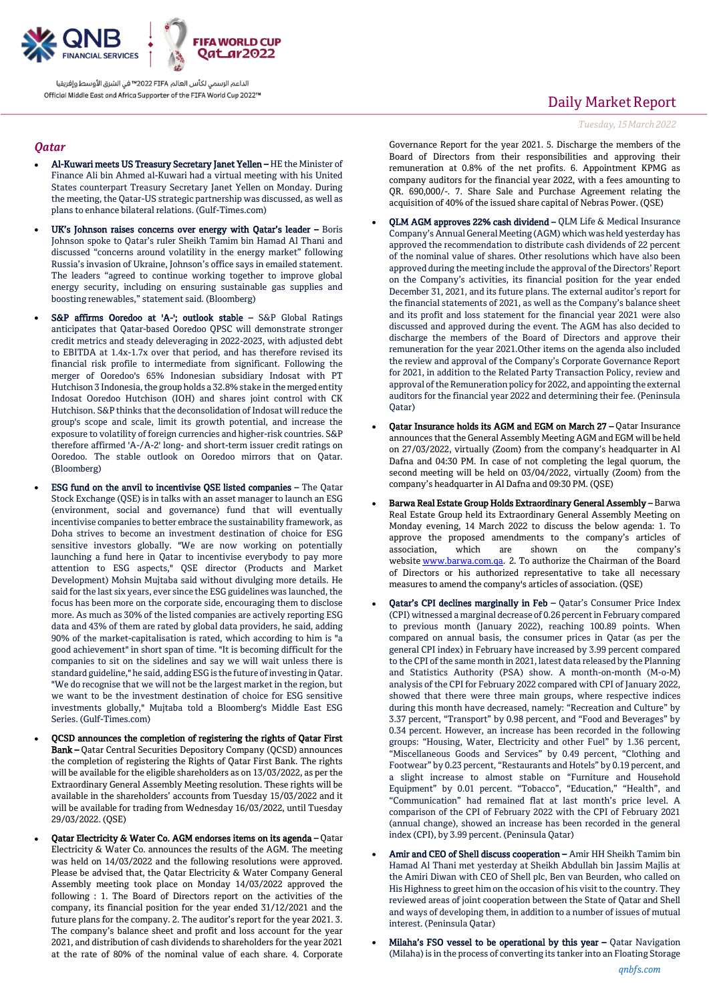

#### *Qatar*

- Al-Kuwari meets US Treasury Secretary Janet Yellen HE the Minister of Finance Ali bin Ahmed al-Kuwari had a virtual meeting with his United States counterpart Treasury Secretary Janet Yellen on Monday. During the meeting, the Qatar-US strategic partnership was discussed, as well as plans to enhance bilateral relations. (Gulf-Times.com)
- UK's Johnson raises concerns over energy with Qatar's leader Boris Johnson spoke to Qatar's ruler Sheikh Tamim bin Hamad Al Thani and discussed "concerns around volatility in the energy market" following Russia's invasion of Ukraine, Johnson's office says in emailed statement. The leaders "agreed to continue working together to improve global energy security, including on ensuring sustainable gas supplies and boosting renewables," statement said. (Bloomberg)
- S&P affirms Ooredoo at 'A-'; outlook stable S&P Global Ratings anticipates that Qatar-based Ooredoo QPSC will demonstrate stronger credit metrics and steady deleveraging in 2022-2023, with adjusted debt to EBITDA at 1.4x-1.7x over that period, and has therefore revised its financial risk profile to intermediate from significant. Following the merger of Ooredoo's 65% Indonesian subsidiary Indosat with PT Hutchison 3 Indonesia, the group holds a 32.8% stake in the merged entity Indosat Ooredoo Hutchison (IOH) and shares joint control with CK Hutchison. S&P thinks that the deconsolidation of Indosat will reduce the group's scope and scale, limit its growth potential, and increase the exposure to volatility of foreign currencies and higher-risk countries. S&P therefore affirmed 'A-/A-2' long- and short-term issuer credit ratings on Ooredoo. The stable outlook on Ooredoo mirrors that on Qatar. (Bloomberg)
- ESG fund on the anvil to incentivise QSE listed companies The Qatar Stock Exchange (QSE) is in talks with an asset manager to launch an ESG (environment, social and governance) fund that will eventually incentivise companies to better embrace the sustainability framework, as Doha strives to become an investment destination of choice for ESG sensitive investors globally. "We are now working on potentially launching a fund here in Qatar to incentivise everybody to pay more attention to ESG aspects," QSE director (Products and Market Development) Mohsin Mujtaba said without divulging more details. He said for the last six years, ever since the ESG guidelines was launched, the focus has been more on the corporate side, encouraging them to disclose more. As much as 30% of the listed companies are actively reporting ESG data and 43% of them are rated by global data providers, he said, adding 90% of the market-capitalisation is rated, which according to him is "a good achievement" in short span of time. "It is becoming difficult for the companies to sit on the sidelines and say we will wait unless there is standard guideline," he said, adding ESG is the future of investing in Qatar. "We do recognise that we will not be the largest market in the region, but we want to be the investment destination of choice for ESG sensitive investments globally," Mujtaba told a Bloomberg's Middle East ESG Series. (Gulf-Times.com)
- QCSD announces the completion of registering the rights of Qatar First Bank – Qatar Central Securities Depository Company (QCSD) announces the completion of registering the Rights of Qatar First Bank. The rights will be available for the eligible shareholders as on 13/03/2022, as per the Extraordinary General Assembly Meeting resolution. These rights will be available in the shareholders' accounts from Tuesday 15/03/2022 and it will be available for trading from Wednesday 16/03/2022, until Tuesday 29/03/2022. (QSE)
- Qatar Electricity & Water Co. AGM endorses items on its agenda Qatar Electricity & Water Co. announces the results of the AGM. The meeting was held on 14/03/2022 and the following resolutions were approved. Please be advised that, the Qatar Electricity & Water Company General Assembly meeting took place on Monday 14/03/2022 approved the following : 1. The Board of Directors report on the activities of the company, its financial position for the year ended 31/12/2021 and the future plans for the company. 2. The auditor's report for the year 2021. 3. The company's balance sheet and profit and loss account for the year 2021, and distribution of cash dividends to shareholders for the year 2021 at the rate of 80% of the nominal value of each share. 4. Corporate

## Daily Market Report

*Tuesday, 15March2022*

Governance Report for the year 2021. 5. Discharge the members of the Board of Directors from their responsibilities and approving their remuneration at 0.8% of the net profits. 6. Appointment KPMG as company auditors for the financial year 2022, with a fees amounting to QR. 690,000/-. 7. Share Sale and Purchase Agreement relating the acquisition of 40% of the issued share capital of Nebras Power. (QSE)

- QLM AGM approves 22% cash dividend QLM Life & Medical Insurance Company's Annual General Meeting (AGM) which was held yesterday has approved the recommendation to distribute cash dividends of 22 percent of the nominal value of shares. Other resolutions which have also been approved during the meeting include the approval of the Directors' Report on the Company's activities, its financial position for the year ended December 31, 2021, and its future plans. The external auditor's report for the financial statements of 2021, as well as the Company's balance sheet and its profit and loss statement for the financial year 2021 were also discussed and approved during the event. The AGM has also decided to discharge the members of the Board of Directors and approve their remuneration for the year 2021.Other items on the agenda also included the review and approval of the Company's Corporate Governance Report for 2021, in addition to the Related Party Transaction Policy, review and approval of the Remuneration policy for 2022, and appointing the external auditors for the financial year 2022 and determining their fee. (Peninsula Qatar)
- Qatar Insurance holds its AGM and EGM on March 27 Qatar Insurance announces that the General Assembly Meeting AGM and EGM will be held on 27/03/2022, virtually (Zoom) from the company's headquarter in Al Dafna and 04:30 PM. In case of not completing the legal quorum, the second meeting will be held on 03/04/2022, virtually (Zoom) from the company's headquarter in Al Dafna and 09:30 PM. (QSE)
- Barwa Real Estate Group Holds Extraordinary General Assembly Barwa Real Estate Group held its Extraordinary General Assembly Meeting on Monday evening, 14 March 2022 to discuss the below agenda: 1. To approve the proposed amendments to the company's articles of association, which are shown on the company's website [www.barwa.com.qa.](https://ind01.safelinks.protection.outlook.com/?url=http%3A%2F%2Fwww.barwa.com.qa%2F&data=04%7C01%7Crahil.khan%40sganalytics.com%7Cc5e242a2429a44e5ea9508da06448eb1%7C8e19f08fe129429e97b5598c0b7944e4%7C1%7C0%7C637829188759030718%7CUnknown%7CTWFpbGZsb3d8eyJWIjoiMC4wLjAwMDAiLCJQIjoiV2luMzIiLCJBTiI6Ik1haWwiLCJXVCI6Mn0%3D%7C3000&sdata=nxatBp8LPHXad1IHK0otdQHnPInzQGKqxI4d%2BlLJeIY%3D&reserved=0) 2. To authorize the Chairman of the Board of Directors or his authorized representative to take all necessary measures to amend the company's articles of association. (QSE)
- Qatar's CPI declines marginally in Feb Qatar's Consumer Price Index (CPI) witnessed a marginal decrease of 0.26 percent in February compared to previous month (January 2022), reaching 100.89 points. When compared on annual basis, the consumer prices in Qatar (as per the general CPI index) in February have increased by 3.99 percent compared to the CPI of the same month in 2021, latest data released by the Planning and Statistics Authority (PSA) show. A month-on-month (M-o-M) analysis of the CPI for February 2022 compared with CPI of January 2022, showed that there were three main groups, where respective indices during this month have decreased, namely: "Recreation and Culture" by 3.37 percent, "Transport" by 0.98 percent, and "Food and Beverages" by 0.34 percent. However, an increase has been recorded in the following groups: "Housing, Water, Electricity and other Fuel" by 1.36 percent, "Miscellaneous Goods and Services" by 0.49 percent, "Clothing and Footwear" by 0.23 percent, "Restaurants and Hotels" by 0.19 percent, and a slight increase to almost stable on "Furniture and Household Equipment" by 0.01 percent. "Tobacco", "Education," "Health", and "Communication" had remained flat at last month's price level. A comparison of the CPI of February 2022 with the CPI of February 2021 (annual change), showed an increase has been recorded in the general index (CPI), by 3.99 percent. (Peninsula Qatar)
- Amir and CEO of Shell discuss cooperation Amir HH Sheikh Tamim bin Hamad Al Thani met yesterday at Sheikh Abdullah bin Jassim Majlis at the Amiri Diwan with CEO of Shell plc, Ben van Beurden, who called on His Highness to greet him on the occasion of his visit to the country. They reviewed areas of joint cooperation between the State of Qatar and Shell and ways of developing them, in addition to a number of issues of mutual interest. (Peninsula Qatar)
- Milaha's FSO vessel to be operational by this year Qatar Navigation (Milaha) is in the process of converting its tanker into an Floating Storage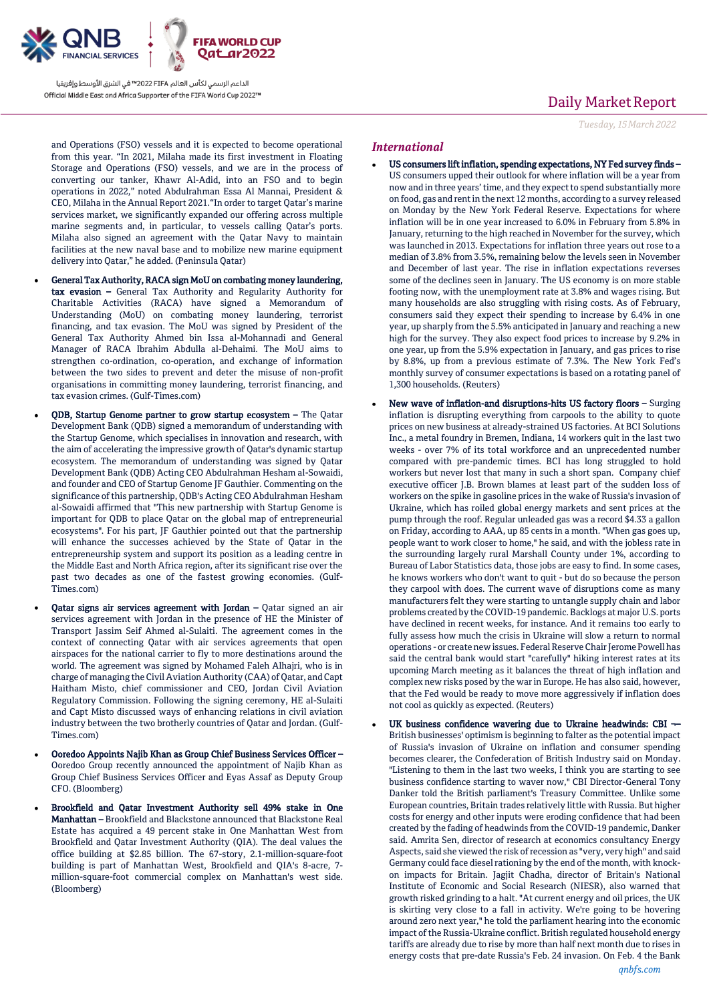

and Operations (FSO) vessels and it is expected to become operational from this year. "In 2021, Milaha made its first investment in Floating Storage and Operations (FSO) vessels, and we are in the process of converting our tanker, Khawr Al-Adid, into an FSO and to begin operations in 2022," noted Abdulrahman Essa Al Mannai, President & CEO, Milaha in the Annual Report 2021."In order to target Qatar's marine services market, we significantly expanded our offering across multiple marine segments and, in particular, to vessels calling Qatar's ports. Milaha also signed an agreement with the Qatar Navy to maintain facilities at the new naval base and to mobilize new marine equipment delivery into Qatar," he added. (Peninsula Qatar)

- General Tax Authority, RACA sign MoU on combating money laundering, tax evasion – General Tax Authority and Regularity Authority for Charitable Activities (RACA) have signed a Memorandum of Understanding (MoU) on combating money laundering, terrorist financing, and tax evasion. The MoU was signed by President of the General Tax Authority Ahmed bin Issa al-Mohannadi and General Manager of RACA Ibrahim Abdulla al-Dehaimi. The MoU aims to strengthen co-ordination, co-operation, and exchange of information between the two sides to prevent and deter the misuse of non-profit organisations in committing money laundering, terrorist financing, and tax evasion crimes. (Gulf-Times.com)
- QDB, Startup Genome partner to grow startup ecosystem The Qatar Development Bank (QDB) signed a memorandum of understanding with the Startup Genome, which specialises in innovation and research, with the aim of accelerating the impressive growth of Qatar's dynamic startup ecosystem. The memorandum of understanding was signed by Qatar Development Bank (QDB) Acting CEO Abdulrahman Hesham al-Sowaidi, and founder and CEO of Startup Genome JF Gauthier. Commenting on the significance of this partnership, QDB's Acting CEO Abdulrahman Hesham al-Sowaidi affirmed that "This new partnership with Startup Genome is important for QDB to place Qatar on the global map of entrepreneurial ecosystems". For his part, JF Gauthier pointed out that the partnership will enhance the successes achieved by the State of Qatar in the entrepreneurship system and support its position as a leading centre in the Middle East and North Africa region, after its significant rise over the past two decades as one of the fastest growing economies. (Gulf-Times.com)
- Qatar signs air services agreement with Jordan Qatar signed an air services agreement with Jordan in the presence of HE the Minister of Transport Jassim Seif Ahmed al-Sulaiti. The agreement comes in the context of connecting Qatar with air services agreements that open airspaces for the national carrier to fly to more destinations around the world. The agreement was signed by Mohamed Faleh Alhajri, who is in charge of managing the Civil Aviation Authority (CAA) of Qatar, and Capt Haitham Misto, chief commissioner and CEO, Jordan Civil Aviation Regulatory Commission. Following the signing ceremony, HE al-Sulaiti and Capt Misto discussed ways of enhancing relations in civil aviation industry between the two brotherly countries of Qatar and Jordan. (Gulf-Times.com)
- Ooredoo Appoints Najib Khan as Group Chief Business Services Officer Ooredoo Group recently announced the appointment of Najib Khan as Group Chief Business Services Officer and Eyas Assaf as Deputy Group CFO. (Bloomberg)
- Brookfield and Qatar Investment Authority sell 49% stake in One Manhattan – Brookfield and Blackstone announced that Blackstone Real Estate has acquired a 49 percent stake in One Manhattan West from Brookfield and Qatar Investment Authority (QIA). The deal values the office building at \$2.85 billion. The 67-story, 2.1-million-square-foot building is part of Manhattan West, Brookfield and QIA's 8-acre, 7 million-square-foot commercial complex on Manhattan's west side. (Bloomberg)

## Daily Market Report

*Tuesday, 15March2022*

#### *International*

- US consumers lift inflation, spending expectations, NY Fed survey finds US consumers upped their outlook for where inflation will be a year from now and in three years' time, and they expect to spend substantially more on food, gas and rent in the next 12 months, according to a survey released on Monday by the New York Federal Reserve. Expectations for where inflation will be in one year increased to 6.0% in February from 5.8% in January, returning to the high reached in November for the survey, which was launched in 2013. Expectations for inflation three years out rose to a median of 3.8% from 3.5%, remaining below the levels seen in November and December of last year. The rise in inflation expectations reverses some of the declines seen in January. The US economy is on more stable footing now, with the unemployment rate at 3.8% and wages rising. But many households are also struggling with rising costs. As of February, consumers said they expect their spending to increase by 6.4% in one year, up sharply from the 5.5% anticipated in January and reaching a new high for the survey. They also expect food prices to increase by 9.2% in one year, up from the 5.9% expectation in January, and gas prices to rise by 8.8%, up from a previous estimate of 7.3%. The New York Fed's monthly survey of consumer expectations is based on a rotating panel of 1,300 households. (Reuters)
- New wave of inflation-and disruptions-hits US factory floors Surging inflation is disrupting everything from carpools to the ability to quote prices on new business at already-strained US factories. At BCI Solutions Inc., a metal foundry in Bremen, Indiana, 14 workers quit in the last two weeks - over 7% of its total workforce and an unprecedented number compared with pre-pandemic times. BCI has long struggled to hold workers but never lost that many in such a short span. Company chief executive officer J.B. Brown blames at least part of the sudden loss of workers on the spike in gasoline prices in the wake of Russia's invasion of Ukraine, which has roiled global energy markets and sent prices at the pump through the roof. Regular unleaded gas was a record \$4.33 a gallon on Friday, according to AAA, up 85 cents in a month. "When gas goes up, people want to work closer to home," he said, and with the jobless rate in the surrounding largely rural Marshall County under 1%, according to Bureau of Labor Statistics data, those jobs are easy to find. In some cases, he knows workers who don't want to quit - but do so because the person they carpool with does. The current wave of disruptions come as many manufacturers felt they were starting to untangle supply chain and labor problems created by the COVID-19 pandemic. Backlogs at major U.S. ports have declined in recent weeks, for instance. And it remains too early to fully assess how much the crisis in Ukraine will slow a return to normal operations - or create new issues. Federal Reserve Chair Jerome Powell has said the central bank would start "carefully" hiking interest rates at its upcoming March meeting as it balances the threat of high inflation and complex new risks posed by the war in Europe. He has also said, however, that the Fed would be ready to move more aggressively if inflation does not cool as quickly as expected. (Reuters)
- UK business confidence wavering due to Ukraine headwinds: CBI ¬– British businesses' optimism is beginning to falter as the potential impact of Russia's invasion of Ukraine on inflation and consumer spending becomes clearer, the Confederation of British Industry said on Monday. "Listening to them in the last two weeks, I think you are starting to see business confidence starting to waver now," CBI Director-General Tony Danker told the British parliament's Treasury Committee. Unlike some European countries, Britain trades relatively little with Russia. But higher costs for energy and other inputs were eroding confidence that had been created by the fading of headwinds from the COVID-19 pandemic, Danker said. Amrita Sen, director of research at economics consultancy Energy Aspects, said she viewed the risk of recession as "very, very high" and said Germany could face diesel rationing by the end of the month, with knockon impacts for Britain. Jagjit Chadha, director of Britain's National Institute of Economic and Social Research (NIESR), also warned that growth risked grinding to a halt. "At current energy and oil prices, the UK is skirting very close to a fall in activity. We're going to be hovering around zero next year," he told the parliament hearing into the economic impact of the Russia-Ukraine conflict. British regulated household energy tariffs are already due to rise by more than half next month due to rises in energy costs that pre-date Russia's Feb. 24 invasion. On Feb. 4 the Bank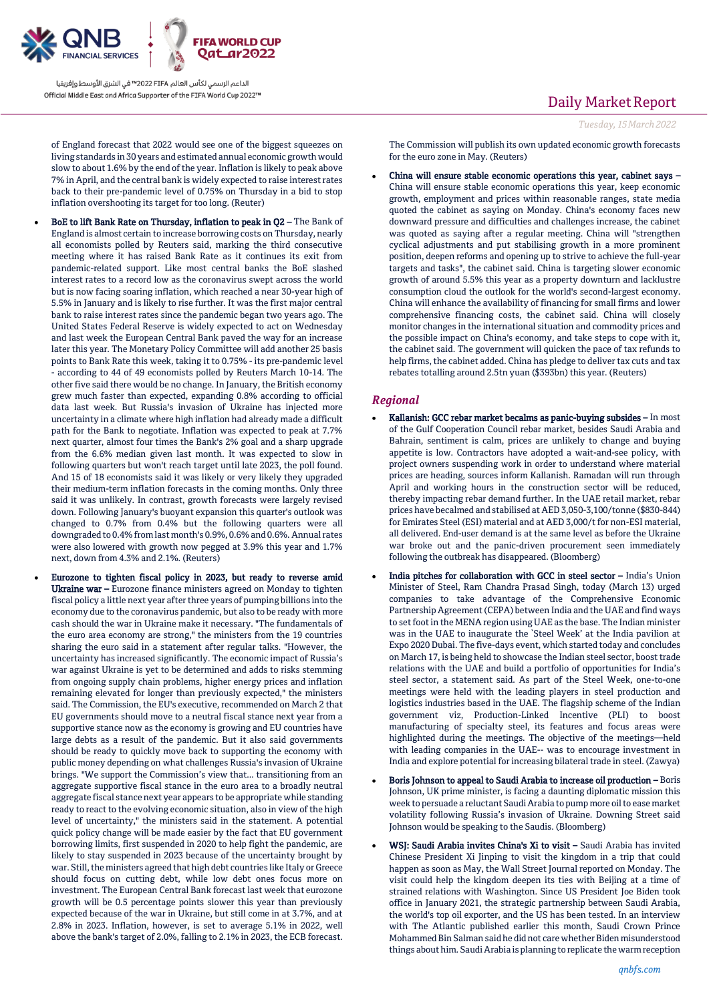

of England forecast that 2022 would see one of the biggest squeezes on living standards in 30 years and estimated annual economic growth would slow to about 1.6% by the end of the year. Inflation is likely to peak above 7% in April, and the central bank is widely expected to raise interest rates back to their pre-pandemic level of 0.75% on Thursday in a bid to stop inflation overshooting its target for too long. (Reuter)

- BoE to lift Bank Rate on Thursday, inflation to peak in Q2 The Bank of England is almost certain to increase borrowing costs on Thursday, nearly all economists polled by Reuters said, marking the third consecutive meeting where it has raised Bank Rate as it continues its exit from pandemic-related support. Like most central banks the BoE slashed interest rates to a record low as the coronavirus swept across the world but is now facing soaring inflation, which reached a near 30-year high of 5.5% in January and is likely to rise further. It was the first major central bank to raise interest rates since the pandemic began two years ago. The United States Federal Reserve is widely expected to act on Wednesday and last week the European Central Bank paved the way for an increase later this year. The Monetary Policy Committee will add another 25 basis points to Bank Rate this week, taking it to 0.75% - its pre-pandemic level - according to 44 of 49 economists polled by Reuters March 10-14. The other five said there would be no change. In January, the British economy grew much faster than expected, expanding 0.8% according to official data last week. But Russia's invasion of Ukraine has injected more uncertainty in a climate where high inflation had already made a difficult path for the Bank to negotiate. Inflation was expected to peak at 7.7% next quarter, almost four times the Bank's 2% goal and a sharp upgrade from the 6.6% median given last month. It was expected to slow in following quarters but won't reach target until late 2023, the poll found. And 15 of 18 economists said it was likely or very likely they upgraded their medium-term inflation forecasts in the coming months. Only three said it was unlikely. In contrast, growth forecasts were largely revised down. Following January's buoyant expansion this quarter's outlook was changed to 0.7% from 0.4% but the following quarters were all downgraded to 0.4% from last month's 0.9%, 0.6% and 0.6%. Annual rates were also lowered with growth now pegged at 3.9% this year and 1.7% next, down from 4.3% and 2.1%. (Reuters)
- Eurozone to tighten fiscal policy in 2023, but ready to reverse amid Ukraine war – Eurozone finance ministers agreed on Monday to tighten fiscal policy a little next year after three years of pumping billions into the economy due to the coronavirus pandemic, but also to be ready with more cash should the war in Ukraine make it necessary. "The fundamentals of the euro area economy are strong," the ministers from the 19 countries sharing the euro said in a statement after regular talks. "However, the uncertainty has increased significantly. The economic impact of Russia's war against Ukraine is yet to be determined and adds to risks stemming from ongoing supply chain problems, higher energy prices and inflation remaining elevated for longer than previously expected," the ministers said. The Commission, the EU's executive, recommended on March 2 that EU governments should move to a neutral fiscal stance next year from a supportive stance now as the economy is growing and EU countries have large debts as a result of the pandemic. But it also said governments should be ready to quickly move back to supporting the economy with public money depending on what challenges Russia's invasion of Ukraine brings. "We support the Commission's view that... transitioning from an aggregate supportive fiscal stance in the euro area to a broadly neutral aggregate fiscal stance next year appears to be appropriate while standing ready to react to the evolving economic situation, also in view of the high level of uncertainty," the ministers said in the statement. A potential quick policy change will be made easier by the fact that EU government borrowing limits, first suspended in 2020 to help fight the pandemic, are likely to stay suspended in 2023 because of the uncertainty brought by war. Still, the ministers agreed that high debt countries like Italy or Greece should focus on cutting debt, while low debt ones focus more on investment. The European Central Bank forecast last week that eurozone growth will be 0.5 percentage points slower this year than previously expected because of the war in Ukraine, but still come in at 3.7%, and at 2.8% in 2023. Inflation, however, is set to average 5.1% in 2022, well above the bank's target of 2.0%, falling to 2.1% in 2023, the ECB forecast.

## Daily Market Report

```
Tuesday, 15March2022
```
The Commission will publish its own updated economic growth forecasts for the euro zone in May. (Reuters)

 China will ensure stable economic operations this year, cabinet says – China will ensure stable economic operations this year, keep economic growth, employment and prices within reasonable ranges, state media quoted the cabinet as saying on Monday. China's economy faces new downward pressure and difficulties and challenges increase, the cabinet was quoted as saying after a regular meeting. China will "strengthen cyclical adjustments and put stabilising growth in a more prominent position, deepen reforms and opening up to strive to achieve the full-year targets and tasks", the cabinet said. China is targeting slower economic growth of around 5.5% this year as a property downturn and lacklustre consumption cloud the outlook for the world's second-largest economy. China will enhance the availability of financing for small firms and lower comprehensive financing costs, the cabinet said. China will closely monitor changes in the international situation and commodity prices and the possible impact on China's economy, and take steps to cope with it, the cabinet said. The government will quicken the pace of tax refunds to help firms, the cabinet added. China has pledge to deliver tax cuts and tax rebates totalling around 2.5tn yuan (\$393bn) this year. (Reuters)

## *Regional*

- Kallanish: GCC rebar market becalms as panic-buying subsides In most of the Gulf Cooperation Council rebar market, besides Saudi Arabia and Bahrain, sentiment is calm, prices are unlikely to change and buying appetite is low. Contractors have adopted a wait-and-see policy, with project owners suspending work in order to understand where material prices are heading, sources inform Kallanish. Ramadan will run through April and working hours in the construction sector will be reduced, thereby impacting rebar demand further. In the UAE retail market, rebar prices have becalmed and stabilised at AED 3,050-3,100/tonne (\$830-844) for Emirates Steel (ESI) material and at AED 3,000/t for non-ESI material, all delivered. End-user demand is at the same level as before the Ukraine war broke out and the panic-driven procurement seen immediately following the outbreak has disappeared. (Bloomberg)
- India pitches for collaboration with GCC in steel sector India's Union Minister of Steel, Ram Chandra Prasad Singh, today (March 13) urged companies to take advantage of the Comprehensive Economic Partnership Agreement (CEPA) between India and the UAE and find ways to set foot in the MENA region using UAE as the base. The Indian minister was in the UAE to inaugurate the `Steel Week' at the India pavilion at Expo 2020 Dubai. The five-days event, which started today and concludes on March 17, is being held to showcase the Indian steel sector, boost trade relations with the UAE and build a portfolio of opportunities for India's steel sector, a statement said. As part of the Steel Week, one-to-one meetings were held with the leading players in steel production and logistics industries based in the UAE. The flagship scheme of the Indian government viz, Production-Linked Incentive (PLI) to boost manufacturing of specialty steel, its features and focus areas were highlighted during the meetings. The objective of the meetings—held with leading companies in the UAE-- was to encourage investment in India and explore potential for increasing bilateral trade in steel. (Zawya)
- Boris Johnson to appeal to Saudi Arabia to increase oil production Boris Johnson, UK prime minister, is facing a daunting diplomatic mission this week to persuade a reluctant Saudi Arabia to pump more oil to ease market volatility following Russia's invasion of Ukraine. Downing Street said Johnson would be speaking to the Saudis. (Bloomberg)
- WSJ: Saudi Arabia invites China's Xi to visit Saudi Arabia has invited Chinese President Xi Jinping to visit the kingdom in a trip that could happen as soon as May, the Wall Street Journal reported on Monday. The visit could help the kingdom deepen its ties with Beijing at a time of strained relations with Washington. Since US President Joe Biden took office in January 2021, the strategic partnership between Saudi Arabia, the world's top oil exporter, and the US has been tested. In an interview with The Atlantic published earlier this month, Saudi Crown Prince Mohammed Bin Salman said he did not care whether Biden misunderstood things about him. Saudi Arabia is planning to replicate the warm reception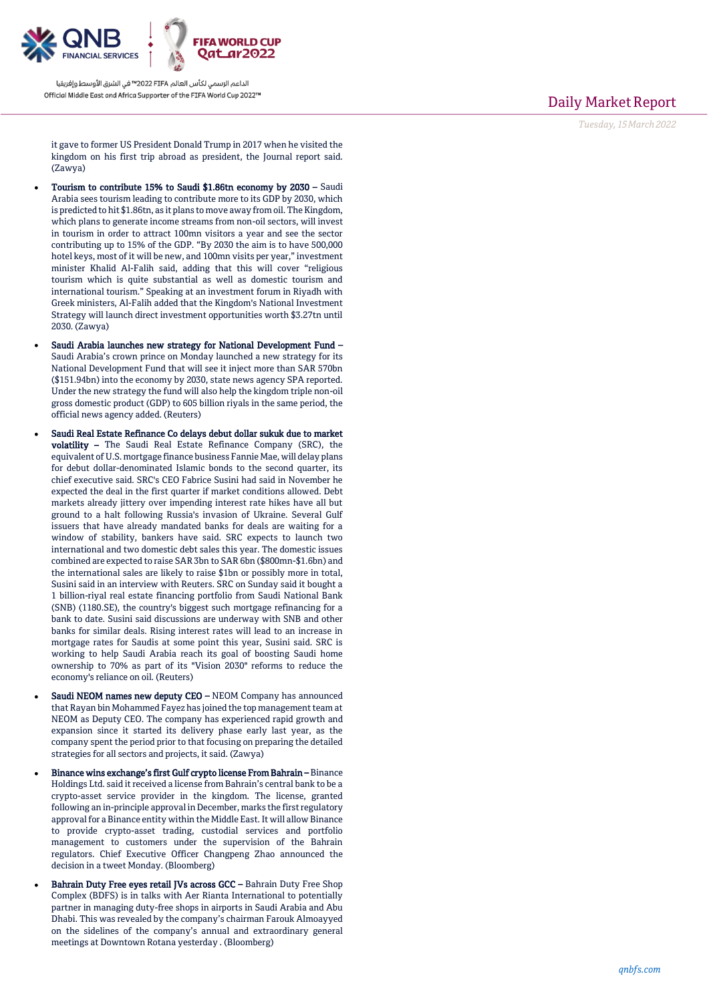

Daily Market Report

*Tuesday, 15March202 2*

it gave to former US President Donald Trump in 2017 when he visited the kingdom on his first trip abroad as president, the Journal report said. (Zawya)

- Tourism to contribute 15% to Saudi \$1.86tn economy by 2030 Saudi Arabia sees tourism leading to contribute more to its GDP by 2030, which is predicted to hit \$1.86tn, as it plans to move away from oil. The Kingdom, which plans to generate income streams from non -oil sectors, will invest in tourism in order to attract 100mn visitors a year and see the sector contributing up to 15% of the GDP. "By 2030 the aim is to have 500,000 hotel keys, most of it will be new, and 100mn visits per year," investment minister Khalid Al -Falih said, adding that this will cover "religious tourism which is quite substantial as well as domestic tourism and international tourism." Speaking at an investment forum in Riyadh with Greek ministers, Al -Falih added that the Kingdom's National Investment Strategy will launch direct investment opportunities worth \$3.27tn until 2030. (Zawya)
- Saudi Arabia launches new strategy for National Development Fund Saudi Arabia's crown prince on Monday launched a new strategy for its National Development Fund that will see it inject more than SAR 570bn (\$151.94bn) into the economy by 2030, state news agency SPA reported. Under the new strategy the fund will also help the kingdom triple non -oil gross domestic product (GDP) to 605 billion riyals in the same period, the official news agency added. (Reuters)
- Saudi Real Estate Refinance Co delays debut dollar sukuk due to market **volatility -** The Saudi Real Estate Refinance Company (SRC), the equivalent of U.S. mortgage finance business Fannie Mae, will delay plans for debut dollar -denominated Islamic bonds to the second quarter, its chief executive said. SRC's CEO Fabrice Susini had said in November he expected the deal in the first quarter if market conditions allowed. Debt markets already jittery over impending interest rate hikes have all but ground to a halt following Russia's invasion of Ukraine. Several Gulf issuers that have already mandated banks for deals are waiting for a window of stability, bankers have said. SRC expects to launch two international and two domestic debt sales this year. The domestic issues combined are expected to raise SAR 3bn to SAR 6bn (\$800mn -\$1.6bn) and the international sales are likely to raise \$1bn or possibly more in total, Susini said in an interview with Reuters. SRC on Sunday said it bought a 1 billion -riyal real estate financing portfolio from Saudi National Bank (SNB) (1180.SE), the country's biggest such mortgage refinancing for a bank to date. Susini said discussions are underway with SNB and other banks for similar deals. Rising interest rates will lead to an increase in mortgage rates for Saudis at some point this year, Susini said. SRC is working to help Saudi Arabia reach its goal of boosting Saudi home ownership to 70% as part of its "Vision 2030" reforms to reduce the economy's reliance on oil. (Reuters)
- Saudi NEOM names new deputy CEO NEOM Company has announced that Rayan bin Mohammed Fayez has joined the top management team at NEOM as Deputy CEO. The company has experienced rapid growth and expansion since it started its delivery phase early last year, as the company spent the period prior to that focusing on preparing the detailed strategies for all sectors and projects, it said. (Zawya)
- Binance wins exchange's first Gulf crypto license From Bahrain Binance Holdings Ltd. said it received a license from Bahrain's central bank to be a crypto -asset service provider in the kingdom. The license, granted following an in -principle approval in December, marks the first regulatory approval for a Binance entity within the Middle East. It will allow Binance to provide crypto -asset trading, custodial services and portfolio management to customers under the supervision of the Bahrain regulators. Chief Executive Officer Changpeng Zhao announced the decision in a tweet Monday. (Bloomberg)
- Bahrain Duty Free eyes retail JVs across GCC Bahrain Duty Free Shop Complex (BDFS) is in talks with Aer Rianta International to potentially partner in managing duty -free shops in airports in Saudi Arabia and Abu Dhabi. This was revealed by the company's chairman Farouk Almoayyed on the sidelines of the company's annual and extraordinary general meetings at Downtown Rotana yesterday . (Bloomberg)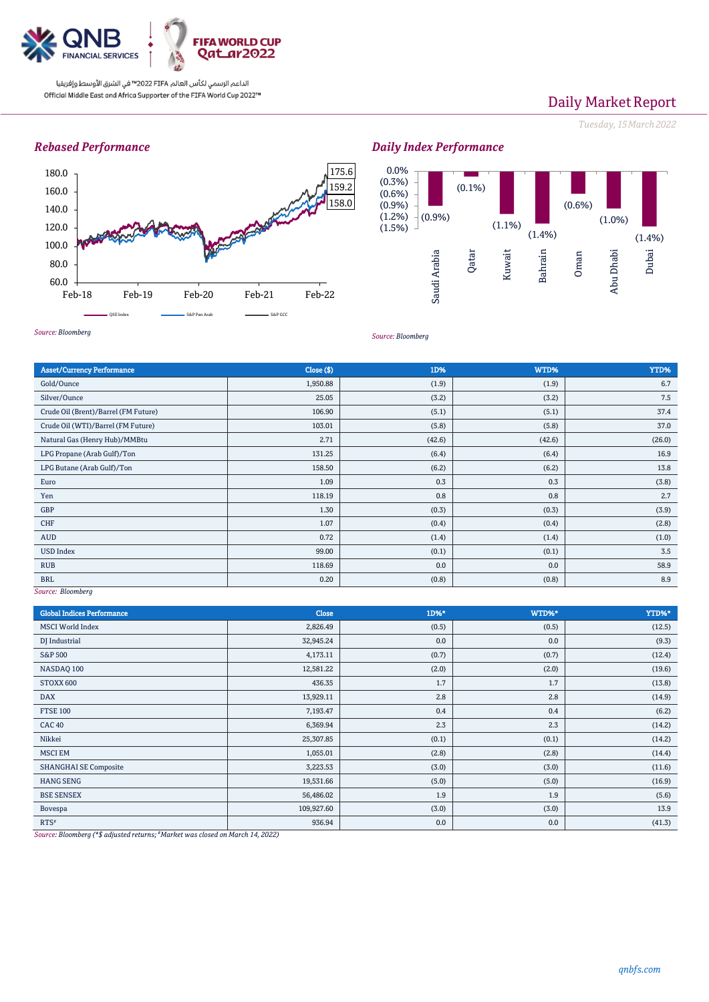

# Daily Market Report

*Tuesday, 15March2022*

### *Rebased Performance*







*Source: Bloomberg*

| <b>Asset/Currency Performance</b>    | Close ( \$) | 1D%    | WTD%   | YTD%   |
|--------------------------------------|-------------|--------|--------|--------|
| Gold/Ounce                           | 1,950.88    | (1.9)  | (1.9)  | 6.7    |
| Silver/Ounce                         | 25.05       | (3.2)  | (3.2)  | 7.5    |
| Crude Oil (Brent)/Barrel (FM Future) | 106.90      | (5.1)  | (5.1)  | 37.4   |
| Crude Oil (WTI)/Barrel (FM Future)   | 103.01      | (5.8)  | (5.8)  | 37.0   |
| Natural Gas (Henry Hub)/MMBtu        | 2.71        | (42.6) | (42.6) | (26.0) |
| LPG Propane (Arab Gulf)/Ton          | 131.25      | (6.4)  | (6.4)  | 16.9   |
| LPG Butane (Arab Gulf)/Ton           | 158.50      | (6.2)  | (6.2)  | 13.8   |
| Euro                                 | 1.09        | 0.3    | 0.3    | (3.8)  |
| Yen                                  | 118.19      | 0.8    | 0.8    | 2.7    |
| GBP                                  | 1.30        | (0.3)  | (0.3)  | (3.9)  |
| CHF                                  | 1.07        | (0.4)  | (0.4)  | (2.8)  |
| AUD                                  | 0.72        | (1.4)  | (1.4)  | (1.0)  |
| <b>USD Index</b>                     | 99.00       | (0.1)  | (0.1)  | 3.5    |
| <b>RUB</b>                           | 118.69      | 0.0    | 0.0    | 58.9   |
| <b>BRL</b><br><b>Service</b>         | 0.20        | (0.8)  | (0.8)  | 8.9    |

*Source: Bloomberg*

| <b>Global Indices Performance</b> | <b>Close</b> | 1D%*  | WTD%* | YTD%*  |
|-----------------------------------|--------------|-------|-------|--------|
| <b>MSCI World Index</b>           | 2,826.49     | (0.5) | (0.5) | (12.5) |
| DJ Industrial                     | 32,945.24    | 0.0   | 0.0   | (9.3)  |
| <b>S&amp;P 500</b>                | 4,173.11     | (0.7) | (0.7) | (12.4) |
| NASDAQ 100                        | 12,581.22    | (2.0) | (2.0) | (19.6) |
| STOXX 600                         | 436.35       | 1.7   | 1.7   | (13.8) |
| <b>DAX</b>                        | 13,929.11    | 2.8   | 2.8   | (14.9) |
| <b>FTSE 100</b>                   | 7,193.47     | 0.4   | 0.4   | (6.2)  |
| <b>CAC 40</b>                     | 6,369.94     | 2.3   | 2.3   | (14.2) |
| Nikkei                            | 25,307.85    | (0.1) | (0.1) | (14.2) |
| <b>MSCI EM</b>                    | 1,055.01     | (2.8) | (2.8) | (14.4) |
| <b>SHANGHAI SE Composite</b>      | 3,223.53     | (3.0) | (3.0) | (11.6) |
| <b>HANG SENG</b>                  | 19,531.66    | (5.0) | (5.0) | (16.9) |
| <b>BSE SENSEX</b>                 | 56,486.02    | 1.9   | 1.9   | (5.6)  |
| Bovespa                           | 109,927.60   | (3.0) | (3.0) | 13.9   |
| $RTS^*$                           | 936.94       | 0.0   | 0.0   | (41.3) |

*Source: Bloomberg (\*\$ adjusted returns; #Market was closed on March 14, 2022)*